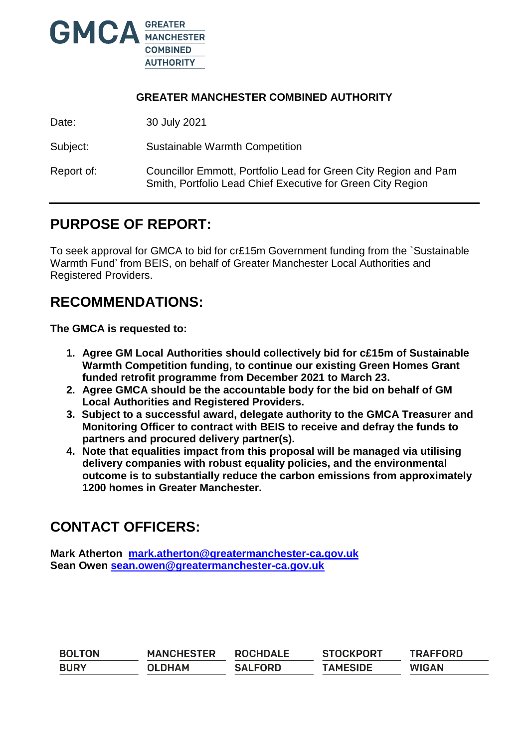

### **GREATER MANCHESTER COMBINED AUTHORITY**

Date: 30 July 2021

Subject: Sustainable Warmth Competition

Report of: Councillor Emmott, Portfolio Lead for Green City Region and Pam Smith, Portfolio Lead Chief Executive for Green City Region

## **PURPOSE OF REPORT:**

To seek approval for GMCA to bid for cr£15m Government funding from the `Sustainable Warmth Fund' from BEIS, on behalf of Greater Manchester Local Authorities and Registered Providers.

## **RECOMMENDATIONS:**

**The GMCA is requested to:**

- **1. Agree GM Local Authorities should collectively bid for c£15m of Sustainable Warmth Competition funding, to continue our existing Green Homes Grant funded retrofit programme from December 2021 to March 23.**
- **2. Agree GMCA should be the accountable body for the bid on behalf of GM Local Authorities and Registered Providers.**
- **3. Subject to a successful award, delegate authority to the GMCA Treasurer and Monitoring Officer to contract with BEIS to receive and defray the funds to partners and procured delivery partner(s).**
- **4. Note that equalities impact from this proposal will be managed via utilising delivery companies with robust equality policies, and the environmental outcome is to substantially reduce the carbon emissions from approximately 1200 homes in Greater Manchester.**

## **CONTACT OFFICERS:**

**Mark Atherton [mark.atherton@greatermanchester-ca.gov.uk](mailto:mark.atherton@greatermanchester-ca.gov.uk) Sean Owen [sean.owen@greatermanchester-ca.gov.uk](mailto:sean.owen@greatermanchester-ca.gov.uk)**

| <b>BOLTON</b> | <b>MANCHESTER</b> | <b>ROCHDALE</b> | <b>STOCKPORT</b> | <b>TRAFFORD</b> |
|---------------|-------------------|-----------------|------------------|-----------------|
| <b>BURY</b>   | <b>OLDHAM</b>     | <b>SALFORD</b>  | <b>TAMESIDE</b>  | <b>WIGAN</b>    |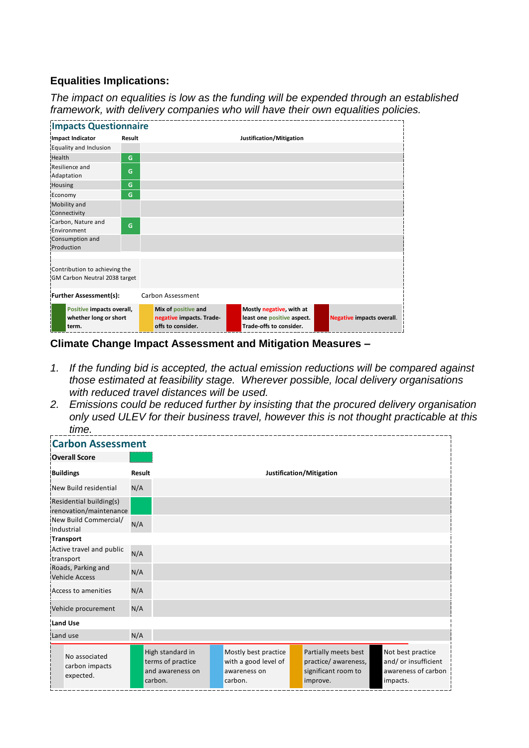### **Equalities Implications:**

*The impact on equalities is low as the funding will be expended through an established framework, with delivery companies who will have their own equalities policies.*

| <b>Impacts Questionnaire</b>                                   |        |                                                                      |                                                                                   |                                  |  |  |
|----------------------------------------------------------------|--------|----------------------------------------------------------------------|-----------------------------------------------------------------------------------|----------------------------------|--|--|
| Impact Indicator                                               | Result |                                                                      | Justification/Mitigation                                                          |                                  |  |  |
| Equality and Inclusion                                         |        |                                                                      |                                                                                   |                                  |  |  |
| Health                                                         | G      |                                                                      |                                                                                   |                                  |  |  |
| Resilience and<br>Adaptation                                   | G      |                                                                      |                                                                                   |                                  |  |  |
| Housing                                                        | G      |                                                                      |                                                                                   |                                  |  |  |
| Economy                                                        | G      |                                                                      |                                                                                   |                                  |  |  |
| Mobility and<br>Connectivity                                   |        |                                                                      |                                                                                   |                                  |  |  |
| Carbon, Nature and<br>Environment                              | G      |                                                                      |                                                                                   |                                  |  |  |
| Consumption and<br>Production                                  |        |                                                                      |                                                                                   |                                  |  |  |
| Contribution to achieving the<br>GM Carbon Neutral 2038 target |        |                                                                      |                                                                                   |                                  |  |  |
| <b>Further Assessment(s):</b>                                  |        | Carbon Assessment                                                    |                                                                                   |                                  |  |  |
| Positive impacts overall,<br>whether long or short<br>term.    |        | Mix of positive and<br>negative impacts. Trade-<br>offs to consider. | Mostly negative, with at<br>least one positive aspect.<br>Trade-offs to consider. | <b>Negative impacts overall.</b> |  |  |

**Climate Change Impact Assessment and Mitigation Measures –**

- *1. If the funding bid is accepted, the actual emission reductions will be compared against those estimated at feasibility stage. Wherever possible, local delivery organisations with reduced travel distances will be used.*
- *2. Emissions could be reduced further by insisting that the procured delivery organisation only used ULEV for their business travel, however this is not thought practicable at this time.*

| <b>Carbon Assessment</b>                          |        |                                                                      |  |                                                                         |  |                                                                                 |          |                                                                  |
|---------------------------------------------------|--------|----------------------------------------------------------------------|--|-------------------------------------------------------------------------|--|---------------------------------------------------------------------------------|----------|------------------------------------------------------------------|
| <b>Overall Score</b>                              |        |                                                                      |  |                                                                         |  |                                                                                 |          |                                                                  |
| <b>Buildings</b>                                  | Result |                                                                      |  |                                                                         |  | Justification/Mitigation                                                        |          |                                                                  |
| New Build residential                             | N/A    |                                                                      |  |                                                                         |  |                                                                                 |          |                                                                  |
| Residential building(s)<br>renovation/maintenance |        |                                                                      |  |                                                                         |  |                                                                                 |          |                                                                  |
| New Build Commercial/<br>Industrial               | N/A    |                                                                      |  |                                                                         |  |                                                                                 |          |                                                                  |
| <b>Transport</b>                                  |        |                                                                      |  |                                                                         |  |                                                                                 |          |                                                                  |
| Active travel and public<br>transport             | N/A    |                                                                      |  |                                                                         |  |                                                                                 |          |                                                                  |
| Roads, Parking and<br><b>Vehicle Access</b>       | N/A    |                                                                      |  |                                                                         |  |                                                                                 |          |                                                                  |
| Access to amenities                               | N/A    |                                                                      |  |                                                                         |  |                                                                                 |          |                                                                  |
| Vehicle procurement                               | N/A    |                                                                      |  |                                                                         |  |                                                                                 |          |                                                                  |
| <b>Land Use</b>                                   |        |                                                                      |  |                                                                         |  |                                                                                 |          |                                                                  |
| Land use                                          | N/A    |                                                                      |  |                                                                         |  |                                                                                 |          |                                                                  |
| No associated<br>carbon impacts<br>expected.      |        | High standard in<br>terms of practice<br>and awareness on<br>carbon. |  | Mostly best practice<br>with a good level of<br>awareness on<br>carbon. |  | Partially meets best<br>practice/ awareness,<br>significant room to<br>improve. | impacts. | Not best practice<br>and/ or insufficient<br>awareness of carbon |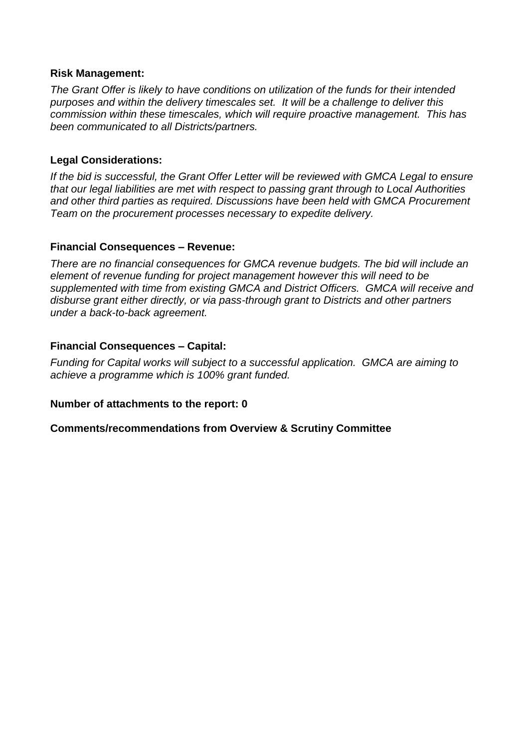#### **Risk Management:**

*The Grant Offer is likely to have conditions on utilization of the funds for their intended purposes and within the delivery timescales set. It will be a challenge to deliver this commission within these timescales, which will require proactive management. This has been communicated to all Districts/partners.*

#### **Legal Considerations:**

*If the bid is successful, the Grant Offer Letter will be reviewed with GMCA Legal to ensure that our legal liabilities are met with respect to passing grant through to Local Authorities and other third parties as required. Discussions have been held with GMCA Procurement Team on the procurement processes necessary to expedite delivery.*

#### **Financial Consequences – Revenue:**

*There are no financial consequences for GMCA revenue budgets. The bid will include an element of revenue funding for project management however this will need to be supplemented with time from existing GMCA and District Officers. GMCA will receive and disburse grant either directly, or via pass-through grant to Districts and other partners under a back-to-back agreement.*

#### **Financial Consequences – Capital:**

*Funding for Capital works will subject to a successful application. GMCA are aiming to achieve a programme which is 100% grant funded.* 

#### **Number of attachments to the report: 0**

**Comments/recommendations from Overview & Scrutiny Committee**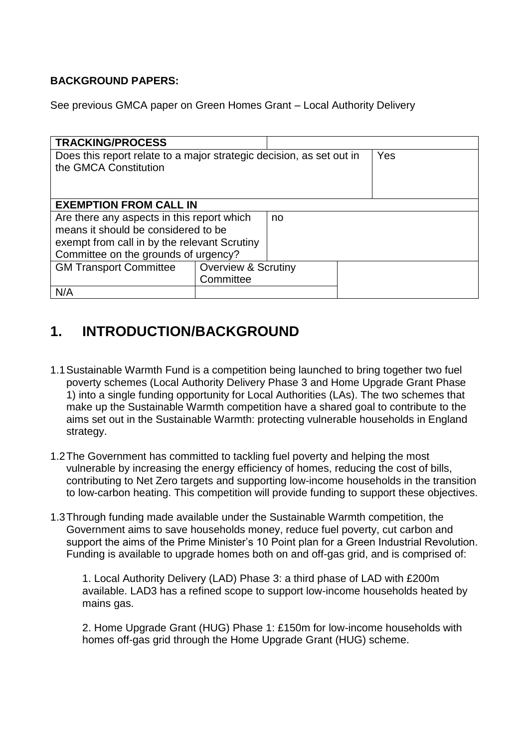### **BACKGROUND PAPERS:**

See previous GMCA paper on Green Homes Grant – Local Authority Delivery

| <b>TRACKING/PROCESS</b>                                              |                                |  |  |  |  |  |  |
|----------------------------------------------------------------------|--------------------------------|--|--|--|--|--|--|
| Does this report relate to a major strategic decision, as set out in | Yes                            |  |  |  |  |  |  |
| the GMCA Constitution                                                |                                |  |  |  |  |  |  |
|                                                                      |                                |  |  |  |  |  |  |
|                                                                      |                                |  |  |  |  |  |  |
| <b>EXEMPTION FROM CALL IN</b>                                        |                                |  |  |  |  |  |  |
| Are there any aspects in this report which                           |                                |  |  |  |  |  |  |
| means it should be considered to be                                  |                                |  |  |  |  |  |  |
| exempt from call in by the relevant Scrutiny                         |                                |  |  |  |  |  |  |
| Committee on the grounds of urgency?                                 |                                |  |  |  |  |  |  |
| <b>GM Transport Committee</b>                                        | <b>Overview &amp; Scrutiny</b> |  |  |  |  |  |  |
|                                                                      | Committee                      |  |  |  |  |  |  |
| N/A                                                                  |                                |  |  |  |  |  |  |

## **1. INTRODUCTION/BACKGROUND**

- 1.1Sustainable Warmth Fund is a competition being launched to bring together two fuel poverty schemes (Local Authority Delivery Phase 3 and Home Upgrade Grant Phase 1) into a single funding opportunity for Local Authorities (LAs). The two schemes that make up the Sustainable Warmth competition have a shared goal to contribute to the aims set out in the Sustainable Warmth: protecting vulnerable households in England strategy.
- 1.2The Government has committed to tackling fuel poverty and helping the most vulnerable by increasing the energy efficiency of homes, reducing the cost of bills, contributing to Net Zero targets and supporting low-income households in the transition to low-carbon heating. This competition will provide funding to support these objectives.
- 1.3Through funding made available under the Sustainable Warmth competition, the Government aims to save households money, reduce fuel poverty, cut carbon and support the aims of the Prime Minister's 10 Point plan for a Green Industrial Revolution. Funding is available to upgrade homes both on and off-gas grid, and is comprised of:

1. Local Authority Delivery (LAD) Phase 3: a third phase of LAD with £200m available. LAD3 has a refined scope to support low-income households heated by mains gas.

2. Home Upgrade Grant (HUG) Phase 1: £150m for low-income households with homes off-gas grid through the Home Upgrade Grant (HUG) scheme.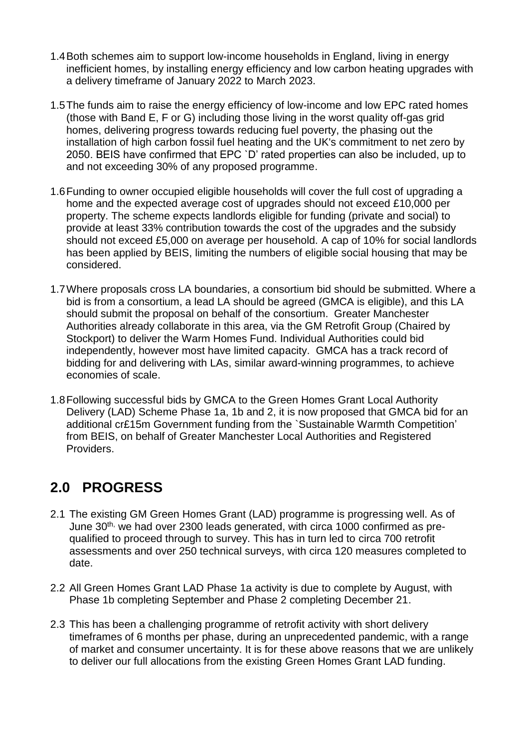- 1.4Both schemes aim to support low-income households in England, living in energy inefficient homes, by installing energy efficiency and low carbon heating upgrades with a delivery timeframe of January 2022 to March 2023.
- 1.5The funds aim to raise the energy efficiency of low-income and low EPC rated homes (those with Band E, F or G) including those living in the worst quality off-gas grid homes, delivering progress towards reducing fuel poverty, the phasing out the installation of high carbon fossil fuel heating and the UK's commitment to net zero by 2050. BEIS have confirmed that EPC `D' rated properties can also be included, up to and not exceeding 30% of any proposed programme.
- 1.6Funding to owner occupied eligible households will cover the full cost of upgrading a home and the expected average cost of upgrades should not exceed £10,000 per property. The scheme expects landlords eligible for funding (private and social) to provide at least 33% contribution towards the cost of the upgrades and the subsidy should not exceed £5,000 on average per household. A cap of 10% for social landlords has been applied by BEIS, limiting the numbers of eligible social housing that may be considered.
- 1.7Where proposals cross LA boundaries, a consortium bid should be submitted. Where a bid is from a consortium, a lead LA should be agreed (GMCA is eligible), and this LA should submit the proposal on behalf of the consortium. Greater Manchester Authorities already collaborate in this area, via the GM Retrofit Group (Chaired by Stockport) to deliver the Warm Homes Fund. Individual Authorities could bid independently, however most have limited capacity. GMCA has a track record of bidding for and delivering with LAs, similar award-winning programmes, to achieve economies of scale.
- 1.8Following successful bids by GMCA to the Green Homes Grant Local Authority Delivery (LAD) Scheme Phase 1a, 1b and 2, it is now proposed that GMCA bid for an additional cr£15m Government funding from the `Sustainable Warmth Competition' from BEIS, on behalf of Greater Manchester Local Authorities and Registered Providers.

# **2.0 PROGRESS**

- 2.1 The existing GM Green Homes Grant (LAD) programme is progressing well. As of June 30<sup>th,</sup> we had over 2300 leads generated, with circa 1000 confirmed as prequalified to proceed through to survey. This has in turn led to circa 700 retrofit assessments and over 250 technical surveys, with circa 120 measures completed to date.
- 2.2 All Green Homes Grant LAD Phase 1a activity is due to complete by August, with Phase 1b completing September and Phase 2 completing December 21.
- 2.3 This has been a challenging programme of retrofit activity with short delivery timeframes of 6 months per phase, during an unprecedented pandemic, with a range of market and consumer uncertainty. It is for these above reasons that we are unlikely to deliver our full allocations from the existing Green Homes Grant LAD funding.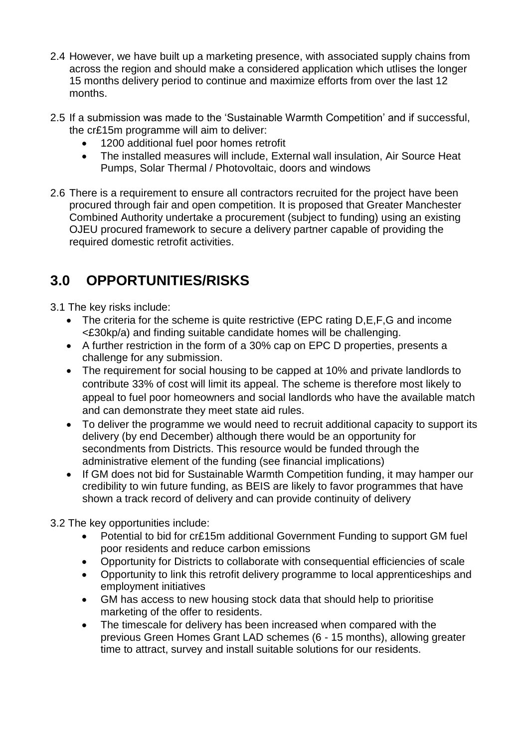- 2.4 However, we have built up a marketing presence, with associated supply chains from across the region and should make a considered application which utlises the longer 15 months delivery period to continue and maximize efforts from over the last 12 months.
- 2.5 If a submission was made to the 'Sustainable Warmth Competition' and if successful, the cr£15m programme will aim to deliver:
	- 1200 additional fuel poor homes retrofit
	- The installed measures will include, External wall insulation, Air Source Heat Pumps, Solar Thermal / Photovoltaic, doors and windows
- 2.6 There is a requirement to ensure all contractors recruited for the project have been procured through fair and open competition. It is proposed that Greater Manchester Combined Authority undertake a procurement (subject to funding) using an existing OJEU procured framework to secure a delivery partner capable of providing the required domestic retrofit activities.

# **3.0 OPPORTUNITIES/RISKS**

- 3.1 The key risks include:
	- The criteria for the scheme is quite restrictive (EPC rating D,E,F,G and income <£30kp/a) and finding suitable candidate homes will be challenging.
	- A further restriction in the form of a 30% cap on EPC D properties, presents a challenge for any submission.
	- The requirement for social housing to be capped at 10% and private landlords to contribute 33% of cost will limit its appeal. The scheme is therefore most likely to appeal to fuel poor homeowners and social landlords who have the available match and can demonstrate they meet state aid rules.
	- To deliver the programme we would need to recruit additional capacity to support its delivery (by end December) although there would be an opportunity for secondments from Districts. This resource would be funded through the administrative element of the funding (see financial implications)
	- If GM does not bid for Sustainable Warmth Competition funding, it may hamper our credibility to win future funding, as BEIS are likely to favor programmes that have shown a track record of delivery and can provide continuity of delivery
- 3.2 The key opportunities include:
	- Potential to bid for cr£15m additional Government Funding to support GM fuel poor residents and reduce carbon emissions
	- Opportunity for Districts to collaborate with consequential efficiencies of scale
	- Opportunity to link this retrofit delivery programme to local apprenticeships and employment initiatives
	- GM has access to new housing stock data that should help to prioritise marketing of the offer to residents.
	- The timescale for delivery has been increased when compared with the previous Green Homes Grant LAD schemes (6 - 15 months), allowing greater time to attract, survey and install suitable solutions for our residents.